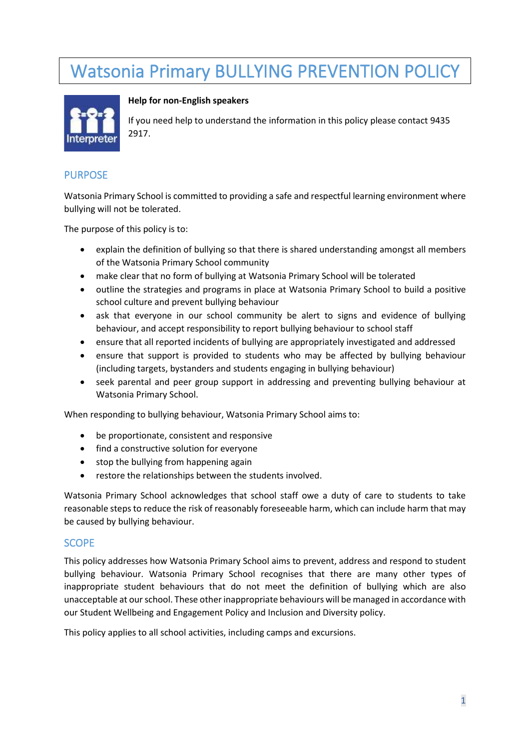# Watsonia Primary BULLYING PREVENTION POLICY



#### **Help for non-English speakers**

If you need help to understand the information in this policy please contact 9435 2917.

## PURPOSE

Watsonia Primary School is committed to providing a safe and respectful learning environment where bullying will not be tolerated.

The purpose of this policy is to:

- explain the definition of bullying so that there is shared understanding amongst all members of the Watsonia Primary School community
- make clear that no form of bullying at Watsonia Primary School will be tolerated
- outline the strategies and programs in place at Watsonia Primary School to build a positive school culture and prevent bullying behaviour
- ask that everyone in our school community be alert to signs and evidence of bullying behaviour, and accept responsibility to report bullying behaviour to school staff
- ensure that all reported incidents of bullying are appropriately investigated and addressed
- ensure that support is provided to students who may be affected by bullying behaviour (including targets, bystanders and students engaging in bullying behaviour)
- seek parental and peer group support in addressing and preventing bullying behaviour at Watsonia Primary School.

When responding to bullying behaviour, Watsonia Primary School aims to:

- be proportionate, consistent and responsive
- find a constructive solution for everyone
- stop the bullying from happening again
- restore the relationships between the students involved.

Watsonia Primary School acknowledges that school staff owe a duty of care to students to take reasonable steps to reduce the risk of reasonably foreseeable harm, which can include harm that may be caused by bullying behaviour.

## **SCOPE**

This policy addresses how Watsonia Primary School aims to prevent, address and respond to student bullying behaviour. Watsonia Primary School recognises that there are many other types of inappropriate student behaviours that do not meet the definition of bullying which are also unacceptable at our school. These other inappropriate behaviours will be managed in accordance with our Student Wellbeing and Engagement Policy and Inclusion and Diversity policy.

This policy applies to all school activities, including camps and excursions.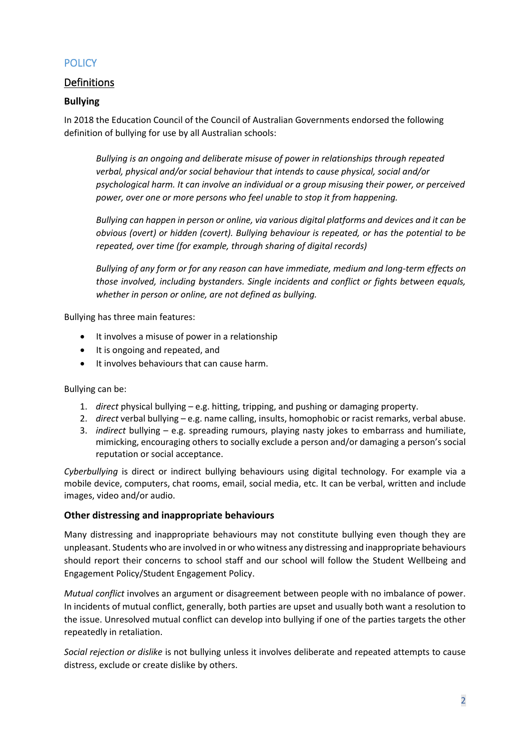# **POLICY**

# Definitions

## **Bullying**

In 2018 the Education Council of the Council of Australian Governments endorsed the following definition of bullying for use by all Australian schools:

*Bullying is an ongoing and deliberate misuse of power in relationships through repeated verbal, physical and/or social behaviour that intends to cause physical, social and/or psychological harm. It can involve an individual or a group misusing their power, or perceived power, over one or more persons who feel unable to stop it from happening.*

*Bullying can happen in person or online, via various digital platforms and devices and it can be obvious (overt) or hidden (covert). Bullying behaviour is repeated, or has the potential to be repeated, over time (for example, through sharing of digital records)*

*Bullying of any form or for any reason can have immediate, medium and long-term effects on those involved, including bystanders. Single incidents and conflict or fights between equals, whether in person or online, are not defined as bullying.*

Bullying has three main features:

- It involves a misuse of power in a relationship
- It is ongoing and repeated, and
- It involves behaviours that can cause harm.

Bullying can be:

- 1. *direct* physical bullying e.g. hitting, tripping, and pushing or damaging property.
- 2. *direct* verbal bullying e.g. name calling, insults, homophobic or racist remarks, verbal abuse.
- 3. *indirect* bullying e.g. spreading rumours, playing nasty jokes to embarrass and humiliate, mimicking, encouraging others to socially exclude a person and/or damaging a person's social reputation or social acceptance.

*Cyberbullying* is direct or indirect bullying behaviours using digital technology. For example via a mobile device, computers, chat rooms, email, social media, etc. It can be verbal, written and include images, video and/or audio.

#### **Other distressing and inappropriate behaviours**

Many distressing and inappropriate behaviours may not constitute bullying even though they are unpleasant. Students who are involved in or who witness any distressing and inappropriate behaviours should report their concerns to school staff and our school will follow the Student Wellbeing and Engagement Policy/Student Engagement Policy.

*Mutual conflict* involves an argument or disagreement between people with no imbalance of power. In incidents of mutual conflict, generally, both parties are upset and usually both want a resolution to the issue. Unresolved mutual conflict can develop into bullying if one of the parties targets the other repeatedly in retaliation.

*Social rejection or dislike* is not bullying unless it involves deliberate and repeated attempts to cause distress, exclude or create dislike by others.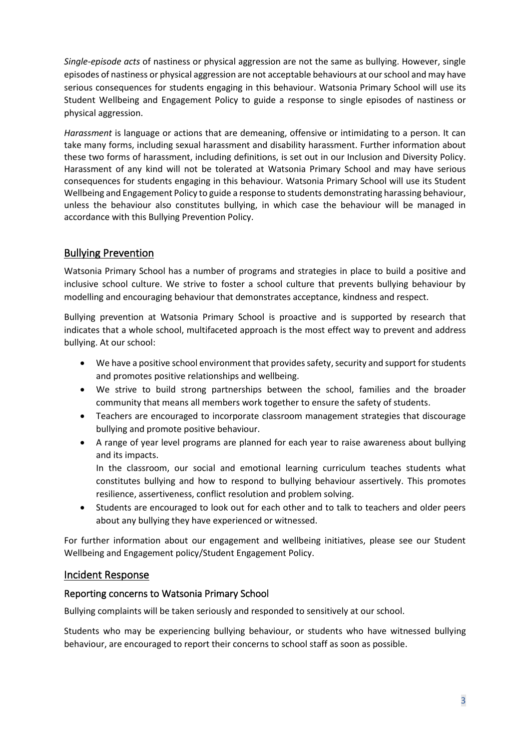*Single-episode acts* of nastiness or physical aggression are not the same as bullying. However, single episodes of nastiness or physical aggression are not acceptable behaviours at our school and may have serious consequences for students engaging in this behaviour. Watsonia Primary School will use its Student Wellbeing and Engagement Policy to guide a response to single episodes of nastiness or physical aggression.

*Harassment* is language or actions that are demeaning, offensive or intimidating to a person. It can take many forms, including sexual harassment and disability harassment. Further information about these two forms of harassment, including definitions, is set out in our Inclusion and Diversity Policy. Harassment of any kind will not be tolerated at Watsonia Primary School and may have serious consequences for students engaging in this behaviour. Watsonia Primary School will use its Student Wellbeing and Engagement Policy to guide a response to students demonstrating harassing behaviour, unless the behaviour also constitutes bullying, in which case the behaviour will be managed in accordance with this Bullying Prevention Policy.

# Bullying Prevention

Watsonia Primary School has a number of programs and strategies in place to build a positive and inclusive school culture. We strive to foster a school culture that prevents bullying behaviour by modelling and encouraging behaviour that demonstrates acceptance, kindness and respect.

Bullying prevention at Watsonia Primary School is proactive and is supported by research that indicates that a whole school, multifaceted approach is the most effect way to prevent and address bullying. At our school:

- We have a positive school environment that provides safety, security and support for students and promotes positive relationships and wellbeing.
- We strive to build strong partnerships between the school, families and the broader community that means all members work together to ensure the safety of students.
- Teachers are encouraged to incorporate classroom management strategies that discourage bullying and promote positive behaviour.
- A range of year level programs are planned for each year to raise awareness about bullying and its impacts.

In the classroom, our social and emotional learning curriculum teaches students what constitutes bullying and how to respond to bullying behaviour assertively. This promotes resilience, assertiveness, conflict resolution and problem solving.

• Students are encouraged to look out for each other and to talk to teachers and older peers about any bullying they have experienced or witnessed.

For further information about our engagement and wellbeing initiatives, please see our Student Wellbeing and Engagement policy/Student Engagement Policy.

## Incident Response

## Reporting concerns to Watsonia Primary School

Bullying complaints will be taken seriously and responded to sensitively at our school.

Students who may be experiencing bullying behaviour, or students who have witnessed bullying behaviour, are encouraged to report their concerns to school staff as soon as possible.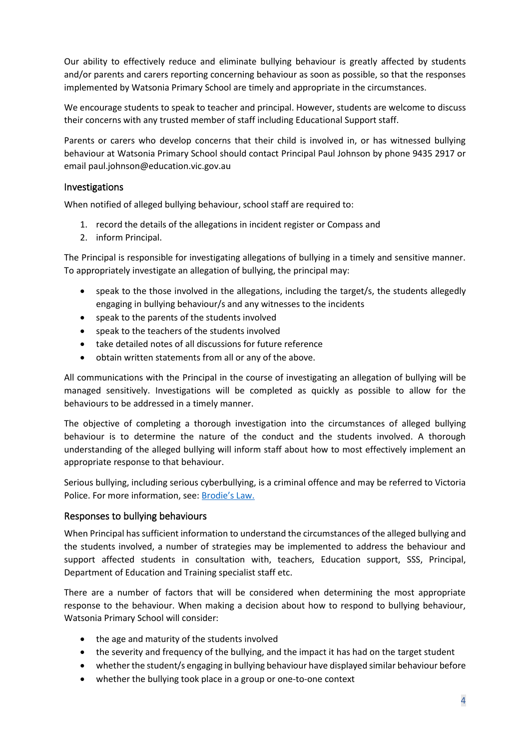Our ability to effectively reduce and eliminate bullying behaviour is greatly affected by students and/or parents and carers reporting concerning behaviour as soon as possible, so that the responses implemented by Watsonia Primary School are timely and appropriate in the circumstances.

We encourage students to speak to teacher and principal. However, students are welcome to discuss their concerns with any trusted member of staff including Educational Support staff.

Parents or carers who develop concerns that their child is involved in, or has witnessed bullying behaviour at Watsonia Primary School should contact Principal Paul Johnson by phone 9435 2917 or email paul.johnson@education.vic.gov.au

## Investigations

When notified of alleged bullying behaviour, school staff are required to:

- 1. record the details of the allegations in incident register or Compass and
- 2. inform Principal.

The Principal is responsible for investigating allegations of bullying in a timely and sensitive manner. To appropriately investigate an allegation of bullying, the principal may:

- speak to the those involved in the allegations, including the target/s, the students allegedly engaging in bullying behaviour/s and any witnesses to the incidents
- speak to the parents of the students involved
- speak to the teachers of the students involved
- take detailed notes of all discussions for future reference
- obtain written statements from all or any of the above.

All communications with the Principal in the course of investigating an allegation of bullying will be managed sensitively. Investigations will be completed as quickly as possible to allow for the behaviours to be addressed in a timely manner.

The objective of completing a thorough investigation into the circumstances of alleged bullying behaviour is to determine the nature of the conduct and the students involved. A thorough understanding of the alleged bullying will inform staff about how to most effectively implement an appropriate response to that behaviour.

Serious bullying, including serious cyberbullying, is a criminal offence and may be referred to Victoria Police. For more information, see: [Brodie's Law.](http://www.education.vic.gov.au/about/programs/bullystoppers/Pages/advicesheetbrodieslaw.aspx)

## Responses to bullying behaviours

When Principal has sufficient information to understand the circumstances of the alleged bullying and the students involved, a number of strategies may be implemented to address the behaviour and support affected students in consultation with, teachers, Education support, SSS, Principal, Department of Education and Training specialist staff etc.

There are a number of factors that will be considered when determining the most appropriate response to the behaviour. When making a decision about how to respond to bullying behaviour, Watsonia Primary School will consider:

- the age and maturity of the students involved
- the severity and frequency of the bullying, and the impact it has had on the target student
- whether the student/s engaging in bullying behaviour have displayed similar behaviour before
- whether the bullying took place in a group or one-to-one context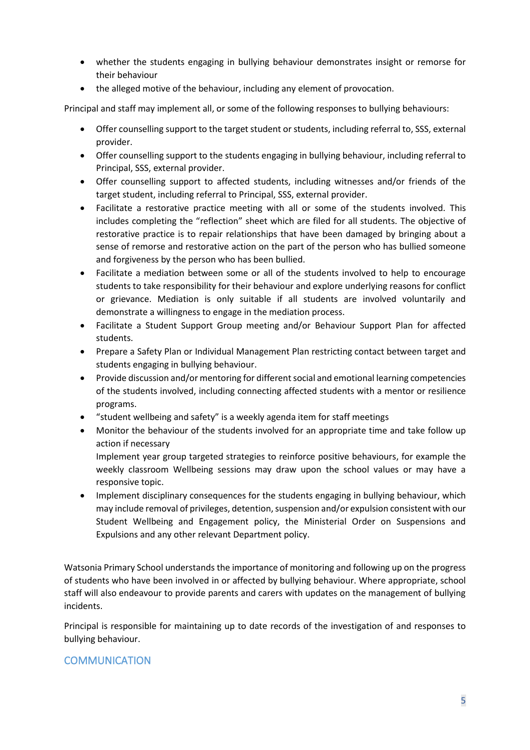- whether the students engaging in bullying behaviour demonstrates insight or remorse for their behaviour
- the alleged motive of the behaviour, including any element of provocation.

Principal and staff may implement all, or some of the following responses to bullying behaviours:

- Offer counselling support to the target student or students, including referral to, SSS, external provider.
- Offer counselling support to the students engaging in bullying behaviour, including referral to Principal, SSS, external provider.
- Offer counselling support to affected students, including witnesses and/or friends of the target student, including referral to Principal, SSS, external provider.
- Facilitate a restorative practice meeting with all or some of the students involved. This includes completing the "reflection" sheet which are filed for all students. The objective of restorative practice is to repair relationships that have been damaged by bringing about a sense of remorse and restorative action on the part of the person who has bullied someone and forgiveness by the person who has been bullied.
- Facilitate a mediation between some or all of the students involved to help to encourage students to take responsibility for their behaviour and explore underlying reasons for conflict or grievance. Mediation is only suitable if all students are involved voluntarily and demonstrate a willingness to engage in the mediation process.
- Facilitate a Student Support Group meeting and/or Behaviour Support Plan for affected students.
- Prepare a Safety Plan or Individual Management Plan restricting contact between target and students engaging in bullying behaviour.
- Provide discussion and/or mentoring for different social and emotional learning competencies of the students involved, including connecting affected students with a mentor or resilience programs.
- "student wellbeing and safety" is a weekly agenda item for staff meetings
- Monitor the behaviour of the students involved for an appropriate time and take follow up action if necessary

Implement year group targeted strategies to reinforce positive behaviours, for example the weekly classroom Wellbeing sessions may draw upon the school values or may have a responsive topic.

• Implement disciplinary consequences for the students engaging in bullying behaviour, which may include removal of privileges, detention, suspension and/or expulsion consistent with our Student Wellbeing and Engagement policy, the Ministerial Order on Suspensions and Expulsions and any other relevant Department policy.

Watsonia Primary School understands the importance of monitoring and following up on the progress of students who have been involved in or affected by bullying behaviour. Where appropriate, school staff will also endeavour to provide parents and carers with updates on the management of bullying incidents.

Principal is responsible for maintaining up to date records of the investigation of and responses to bullying behaviour.

# **COMMUNICATION**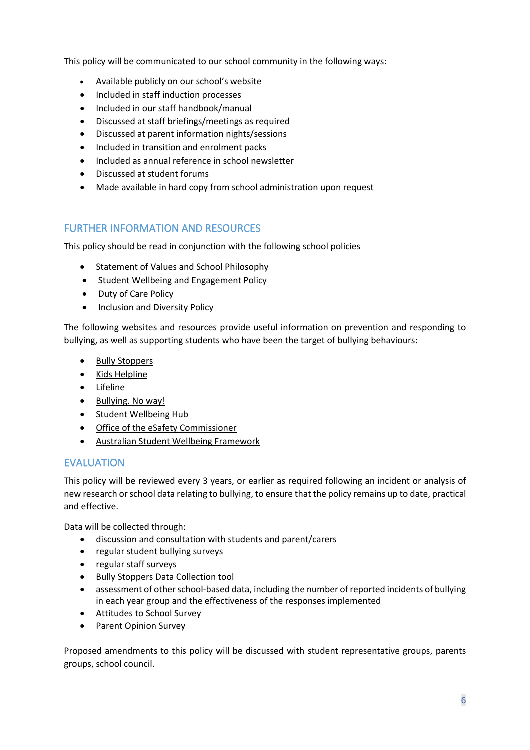This policy will be communicated to our school community in the following ways:

- Available publicly on our school's website
- Included in staff induction processes
- Included in our staff handbook/manual
- Discussed at staff briefings/meetings as required
- Discussed at parent information nights/sessions
- Included in transition and enrolment packs
- Included as annual reference in school newsletter
- Discussed at student forums
- Made available in hard copy from school administration upon request

# FURTHER INFORMATION AND RESOURCES

This policy should be read in conjunction with the following school policies

- Statement of Values and School Philosophy
- Student Wellbeing and Engagement Policy
- Duty of Care Policy
- Inclusion and Diversity Policy

The following websites and resources provide useful information on prevention and responding to bullying, as well as supporting students who have been the target of bullying behaviours:

- [Bully Stoppers](https://www.education.vic.gov.au/about/programs/bullystoppers/Pages/default.aspx)
- Kids [Helpline](https://kidshelpline.com.au/)
- [Lifeline](https://www.lifeline.org.au/)
- [Bullying. No way!](https://bullyingnoway.gov.au/)
- [Student Wellbeing Hub](https://www.studentwellbeinghub.edu.au/)
- [Office of the eSafety Commissioner](https://www.esafety.gov.au/)
- [Australian Student Wellbeing Framework](https://studentwellbeinghub.edu.au/educators/resources/australian-student-wellbeing-framework/)

# EVALUATION

This policy will be reviewed every 3 years, or earlier as required following an incident or analysis of new research or school data relating to bullying, to ensure that the policy remains up to date, practical and effective.

Data will be collected through:

- discussion and consultation with students and parent/carers
- regular student bullying surveys
- regular staff surveys
- Bully Stoppers Data Collection tool
- assessment of other school-based data, including the number of reported incidents of bullying in each year group and the effectiveness of the responses implemented
- Attitudes to School Survey
- Parent Opinion Survey

Proposed amendments to this policy will be discussed with student representative groups, parents groups, school council.